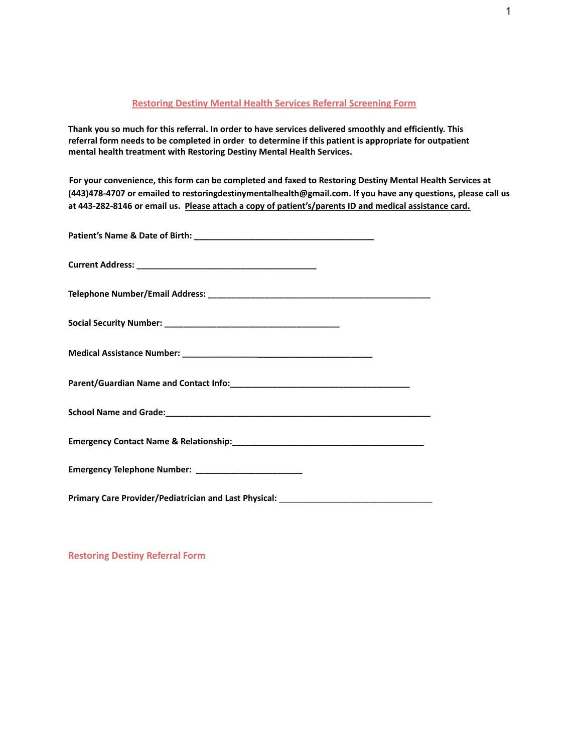## **Restoring Destiny Mental Health Services Referral Screening Form**

**Thank you so much for this referral. In order to have services delivered smoothly and efficiently. This referral form needs to be completed in order to determine if this patient is appropriate for outpatient mental health treatment with Restoring Destiny Mental Health Services.**

**For your convenience, this form can be completed and faxed to Restoring Destiny Mental Health Services at (443)478-4707 or emailed to restoringdestinymentalhealth@gmail.com. If you have any questions, please call us at 443-282-8146 or email us. Please attach a copy of patient's/parents ID and medical assistance card.**

| Primary Care Provider/Pediatrician and Last Physical: ___________________________ |
|-----------------------------------------------------------------------------------|

**Restoring Destiny Referral Form**